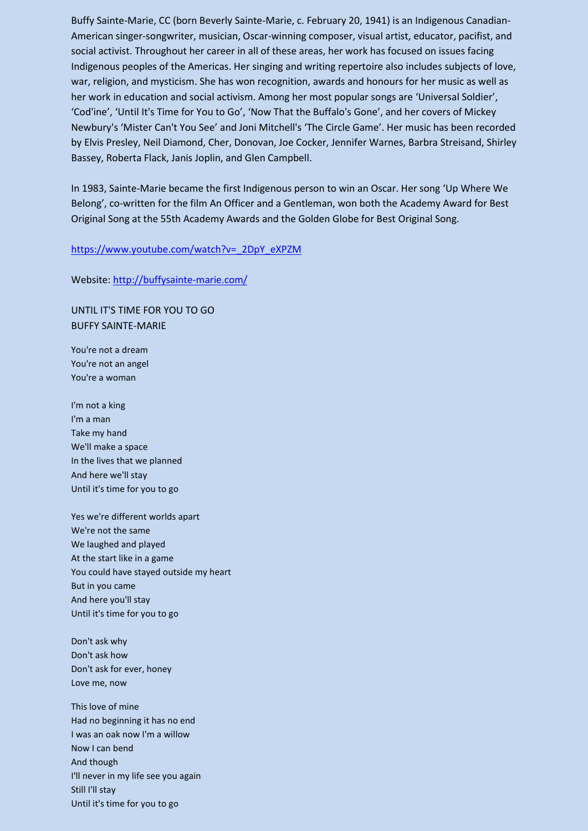Buffy Sainte-Marie, CC (born Beverly Sainte-Marie, c. February 20, 1941) is an Indigenous Canadian-American singer-songwriter, musician, Oscar-winning composer, visual artist, educator, pacifist, and social activist. Throughout her career in all of these areas, her work has focused on issues facing Indigenous peoples of the Americas. Her singing and writing repertoire also includes subjects of love, war, religion, and mysticism. She has won recognition, awards and honours for her music as well as her work in education and social activism. Among her most popular songs are 'Universal Soldier', 'Cod'ine', 'Until It's Time for You to Go', 'Now That the Buffalo's Gone', and her covers of Mickey Newbury's 'Mister Can't You See' and Joni Mitchell's 'The Circle Game'. Her music has been recorded by Elvis Presley, Neil Diamond, Cher, Donovan, Joe Cocker, Jennifer Warnes, Barbra Streisand, Shirley Bassey, Roberta Flack, Janis Joplin, and Glen Campbell.

In 1983, Sainte-Marie became the first Indigenous person to win an Oscar. Her song 'Up Where We Belong', co-written for the film An Officer and a Gentleman, won both the Academy Award for Best Original Song at the 55th Academy Awards and the Golden Globe for Best Original Song.

## [https://www.youtube.com/watch?v=\\_2DpY\\_eXPZM](https://www.youtube.com/watch?v=_2DpY_eXPZM)

## Website[: http://buffysainte-marie.com/](http://buffysainte-marie.com/)

UNTIL IT'S TIME FOR YOU TO GO BUFFY SAINTE-MARIE

You're not a dream You're not an angel You're a woman

I'm not a king I'm a man Take my hand We'll make a space In the lives that we planned And here we'll stay Until it's time for you to go

Yes we're different worlds apart We're not the same We laughed and played At the start like in a game You could have stayed outside my heart But in you came And here you'll stay Until it's time for you to go

Don't ask why Don't ask how Don't ask for ever, honey Love me, now

This love of mine Had no beginning it has no end I was an oak now I'm a willow Now I can bend And though I'll never in my life see you again Still I'll stay Until it's time for you to go